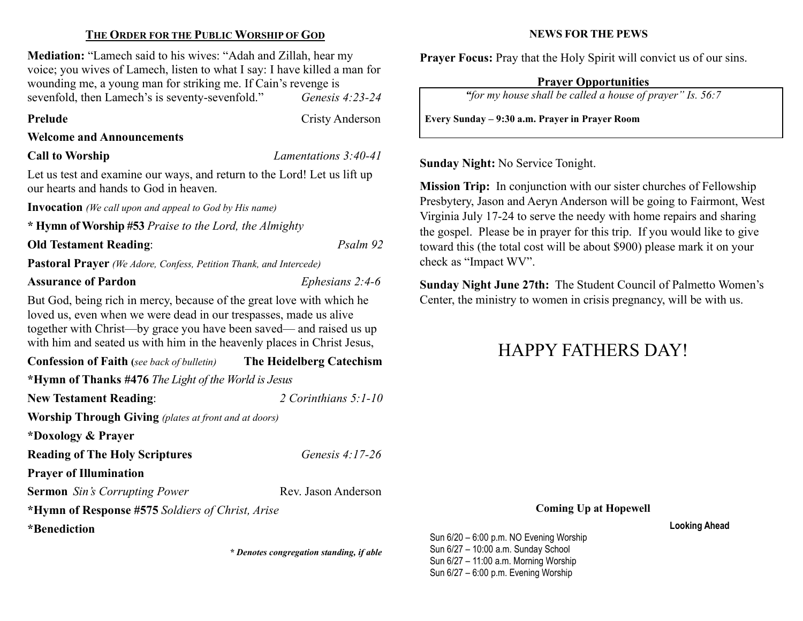### THE ORDER FOR THE PUBLIC WORSHIP OF GOD

Mediation: "Lamech said to his wives: "Adah and Zillah, hear my voice; you wives of Lamech, listen to what I say: I have killed a man for wounding me, a young man for striking me. If Cain's revenge is sevenfold, then Lamech's is seventy-sevenfold." Genesis 4:23-24

Prelude Cristy Anderson

### Welcome and Announcements

Call to Worship Lamentations 3:40-41

Let us test and examine our ways, and return to the Lord! Let us lift up our hearts and hands to God in heaven.

Invocation (We call upon and appeal to God by His name)

\* Hymn of Worship #53 Praise to the Lord, the Almighty

### Old Testament Reading: Psalm 92

Pastoral Prayer (We Adore, Confess, Petition Thank, and Intercede)

### Assurance of Pardon Ephesians 2:4-6

But God, being rich in mercy, because of the great love with which he loved us, even when we were dead in our trespasses, made us alive together with Christ—by grace you have been saved— and raised us up with him and seated us with him in the heavenly places in Christ Jesus,

Confession of Faith (see back of bulletin) The Heidelberg Catechism \*Hymn of Thanks #476 The Light of the World is Jesus New Testament Reading: 2 Corinthians 5:1-10

Worship Through Giving (plates at front and at doors)

\*Doxology & Prayer

Reading of The Holy Scriptures Genesis 4:17-26

Prayer of Illumination

Sermon Sin's Corrupting Power Rev. Jason Anderson

\*Hymn of Response #575 Soldiers of Christ, Arise

\*Benediction

\* Denotes congregation standing, if able

NEWS FOR THE PEWS

Prayer Focus: Pray that the Holy Spirit will convict us of our sins.

### Prayer Opportunities

"for my house shall be called a house of prayer" Is. 56:7

Every Sunday – 9:30 a.m. Prayer in Prayer Room

Sunday Night: No Service Tonight.

Mission Trip: In conjunction with our sister churches of Fellowship Presbytery, Jason and Aeryn Anderson will be going to Fairmont, West Virginia July 17-24 to serve the needy with home repairs and sharing the gospel. Please be in prayer for this trip. If you would like to give toward this (the total cost will be about \$900) please mark it on your check as "Impact WV".

Sunday Night June 27th: The Student Council of Palmetto Women's Center, the ministry to women in crisis pregnancy, will be with us.

## HAPPY FATHERS DAY!

### Coming Up at Hopewell

Looking Ahead

Sun 6/20 – 6:00 p.m. NO Evening Worship Sun 6/27 – 10:00 a.m. Sunday School Sun 6/27 – 11:00 a.m. Morning Worship Sun 6/27 – 6:00 p.m. Evening Worship